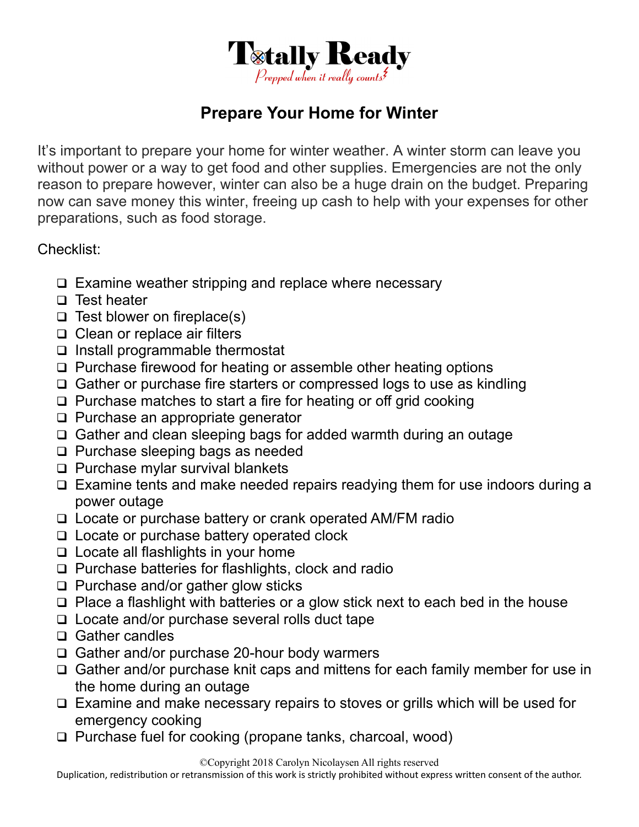

## **Prepare Your Home for Winter**

It's important to prepare your home for winter weather. A winter storm can leave you without power or a way to get food and other supplies. Emergencies are not the only reason to prepare however, winter can also be a huge drain on the budget. Preparing now can save money this winter, freeing up cash to help with your expenses for other preparations, such as food storage.

Checklist:

- $\Box$  Examine weather stripping and replace where necessary
- $\Box$  Test heater
- $\Box$  Test blower on fireplace(s)
- □ Clean or replace air filters
- $\Box$  Install programmable thermostat
- □ Purchase firewood for heating or assemble other heating options
- □ Gather or purchase fire starters or compressed logs to use as kindling
- $\Box$  Purchase matches to start a fire for heating or off grid cooking
- $\Box$  Purchase an appropriate generator
- Gather and clean sleeping bags for added warmth during an outage
- $\Box$  Purchase sleeping bags as needed
- $\Box$  Purchase mylar survival blankets
- □ Examine tents and make needed repairs readying them for use indoors during a power outage
- □ Locate or purchase battery or crank operated AM/FM radio
- $\Box$  Locate or purchase battery operated clock
- $\Box$  Locate all flashlights in your home
- $\Box$  Purchase batteries for flashlights, clock and radio
- $\Box$  Purchase and/or gather glow sticks
- $\Box$  Place a flashlight with batteries or a glow stick next to each bed in the house
- $\Box$  Locate and/or purchase several rolls duct tape
- Gather candles
- □ Gather and/or purchase 20-hour body warmers
- □ Gather and/or purchase knit caps and mittens for each family member for use in the home during an outage
- Examine and make necessary repairs to stoves or grills which will be used for emergency cooking
- □ Purchase fuel for cooking (propane tanks, charcoal, wood)

©Copyright 2018 Carolyn Nicolaysen All rights reserved

Duplication, redistribution or retransmission of this work is strictly prohibited without express written consent of the author.